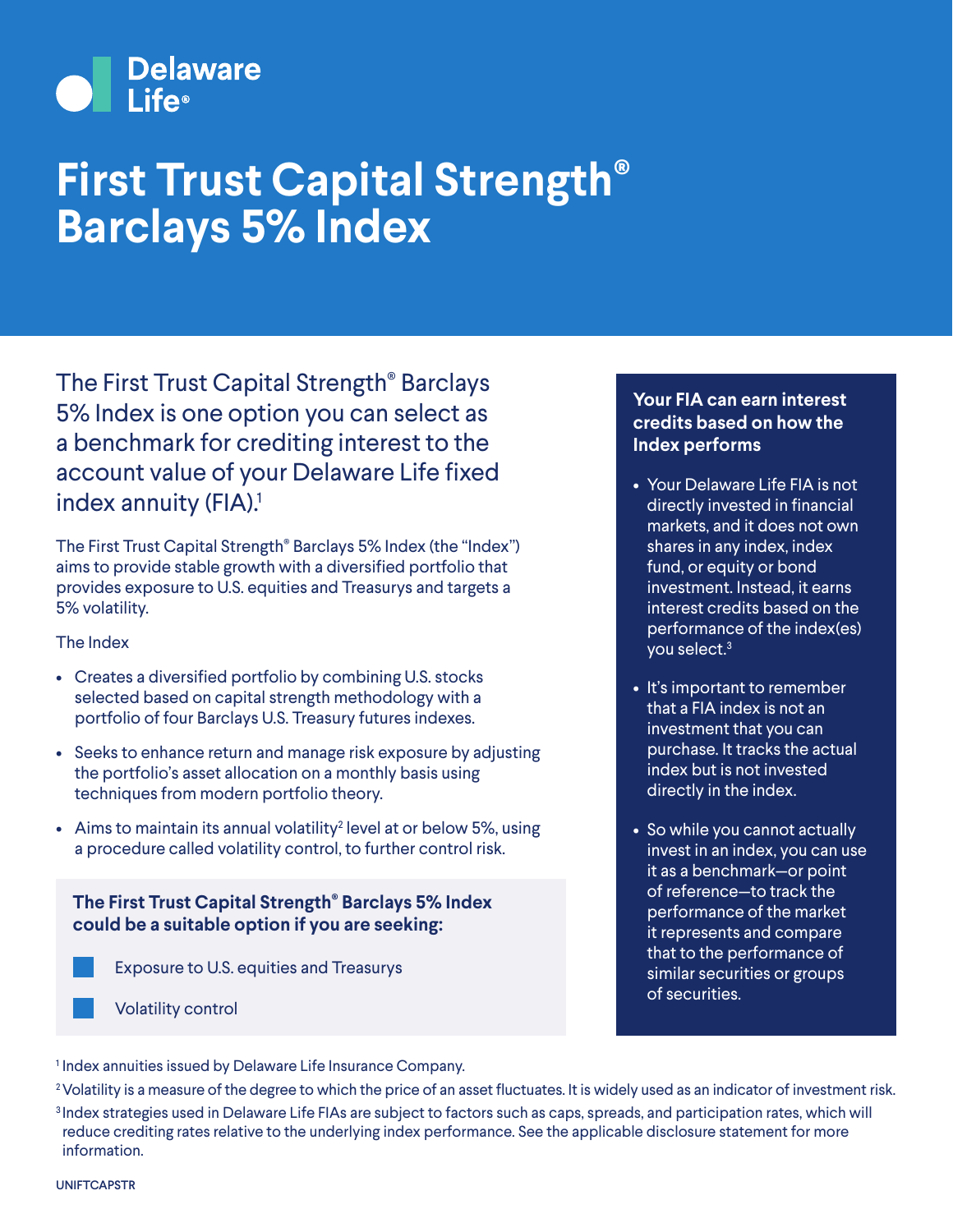# Delaware

## **First Trust Capital Strength® Barclays 5% Index**

The First Trust Capital Strength® Barclays 5% Index is one option you can select as a benchmark for crediting interest to the account value of your Delaware Life fixed index annuity (FIA).<sup>1</sup>

The First Trust Capital Strength® Barclays 5% Index (the "Index") aims to provide stable growth with a diversified portfolio that provides exposure to U.S. equities and Treasurys and targets a 5% volatility.

#### The Index

- Creates a diversified portfolio by combining U.S. stocks selected based on capital strength methodology with a portfolio of four Barclays U.S. Treasury futures indexes.
- Seeks to enhance return and manage risk exposure by adjusting the portfolio's asset allocation on a monthly basis using techniques from modern portfolio theory.
- Aims to maintain its annual volatility<sup>2</sup> level at or below 5%, using a procedure called volatility control, to further control risk.

### **The First Trust Capital Strength® Barclays 5% Index could be a suitable option if you are seeking:**

- Exposure to U.S. equities and Treasurys
- Volatility control

#### **Your FIA can earn interest credits based on how the Index performs**

- Your Delaware Life FIA is not directly invested in financial markets, and it does not own shares in any index, index fund, or equity or bond investment. Instead, it earns interest credits based on the performance of the index(es) you select.3
- It's important to remember that a FIA index is not an investment that you can purchase. It tracks the actual index but is not invested directly in the index.
- So while you cannot actually invest in an index, you can use it as a benchmark—or point of reference—to track the performance of the market it represents and compare that to the performance of similar securities or groups of securities.

<sup>1</sup> Index annuities issued by Delaware Life Insurance Company.

<sup>2</sup> Volatility is a measure of the degree to which the price of an asset fluctuates. It is widely used as an indicator of investment risk. <sup>3</sup> Index strategies used in Delaware Life FIAs are subject to factors such as caps, spreads, and participation rates, which will reduce crediting rates relative to the underlying index performance. See the applicable disclosure statement for more information.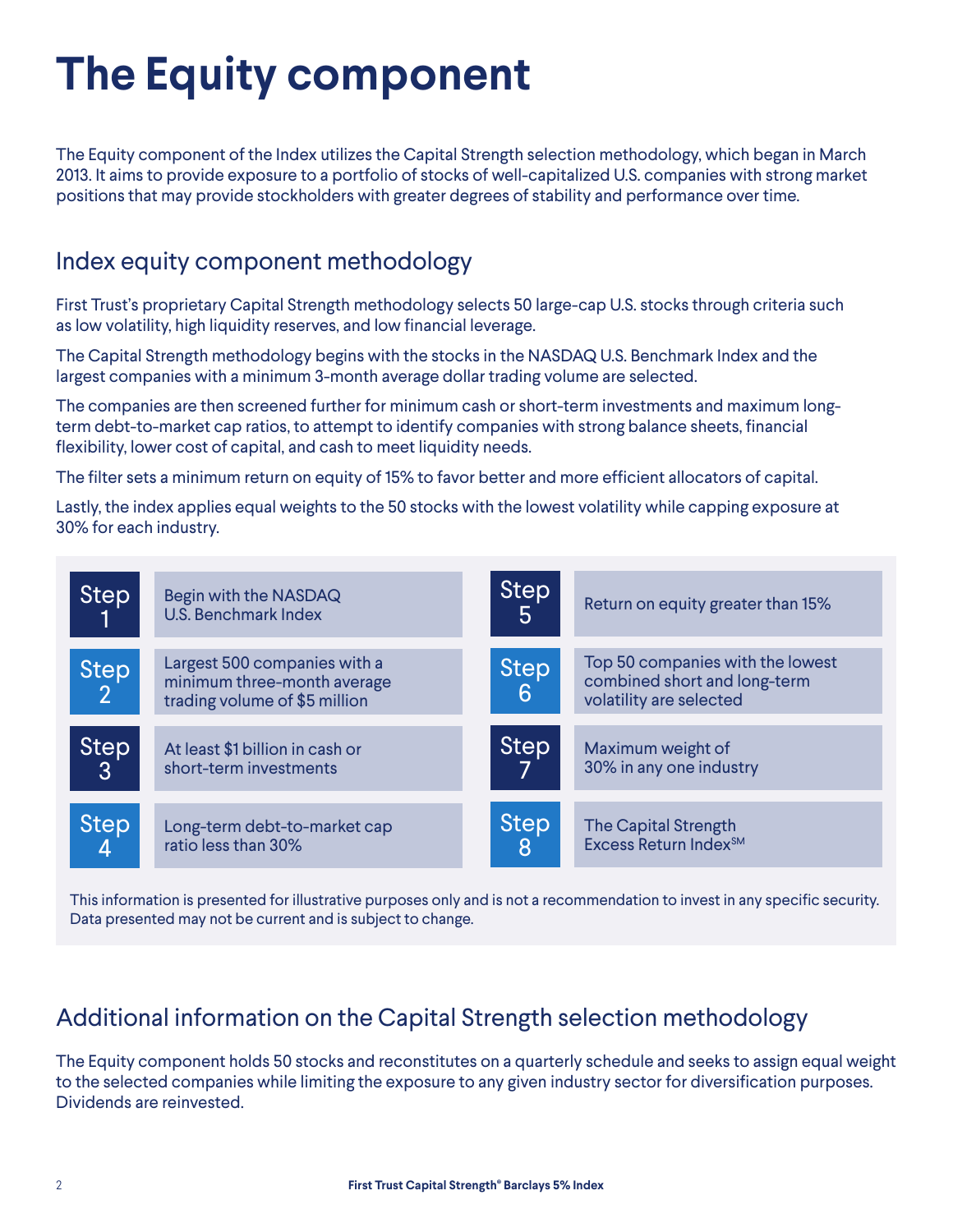# **The Equity component**

The Equity component of the Index utilizes the Capital Strength selection methodology, which began in March 2013. It aims to provide exposure to a portfolio of stocks of well-capitalized U.S. companies with strong market positions that may provide stockholders with greater degrees of stability and performance over time.

## Index equity component methodology

First Trust's proprietary Capital Strength methodology selects 50 large-cap U.S. stocks through criteria such as low volatility, high liquidity reserves, and low financial leverage.

The Capital Strength methodology begins with the stocks in the NASDAQ U.S. Benchmark Index and the largest companies with a minimum 3-month average dollar trading volume are selected.

The companies are then screened further for minimum cash or short-term investments and maximum longterm debt-to-market cap ratios, to attempt to identify companies with strong balance sheets, financial flexibility, lower cost of capital, and cash to meet liquidity needs.

The filter sets a minimum return on equity of 15% to favor better and more efficient allocators of capital.

Lastly, the index applies equal weights to the 50 stocks with the lowest volatility while capping exposure at 30% for each industry.



This information is presented for illustrative purposes only and is not a recommendation to invest in any specific security. Data presented may not be current and is subject to change.

## Additional information on the Capital Strength selection methodology

The Equity component holds 50 stocks and reconstitutes on a quarterly schedule and seeks to assign equal weight to the selected companies while limiting the exposure to any given industry sector for diversification purposes. Dividends are reinvested.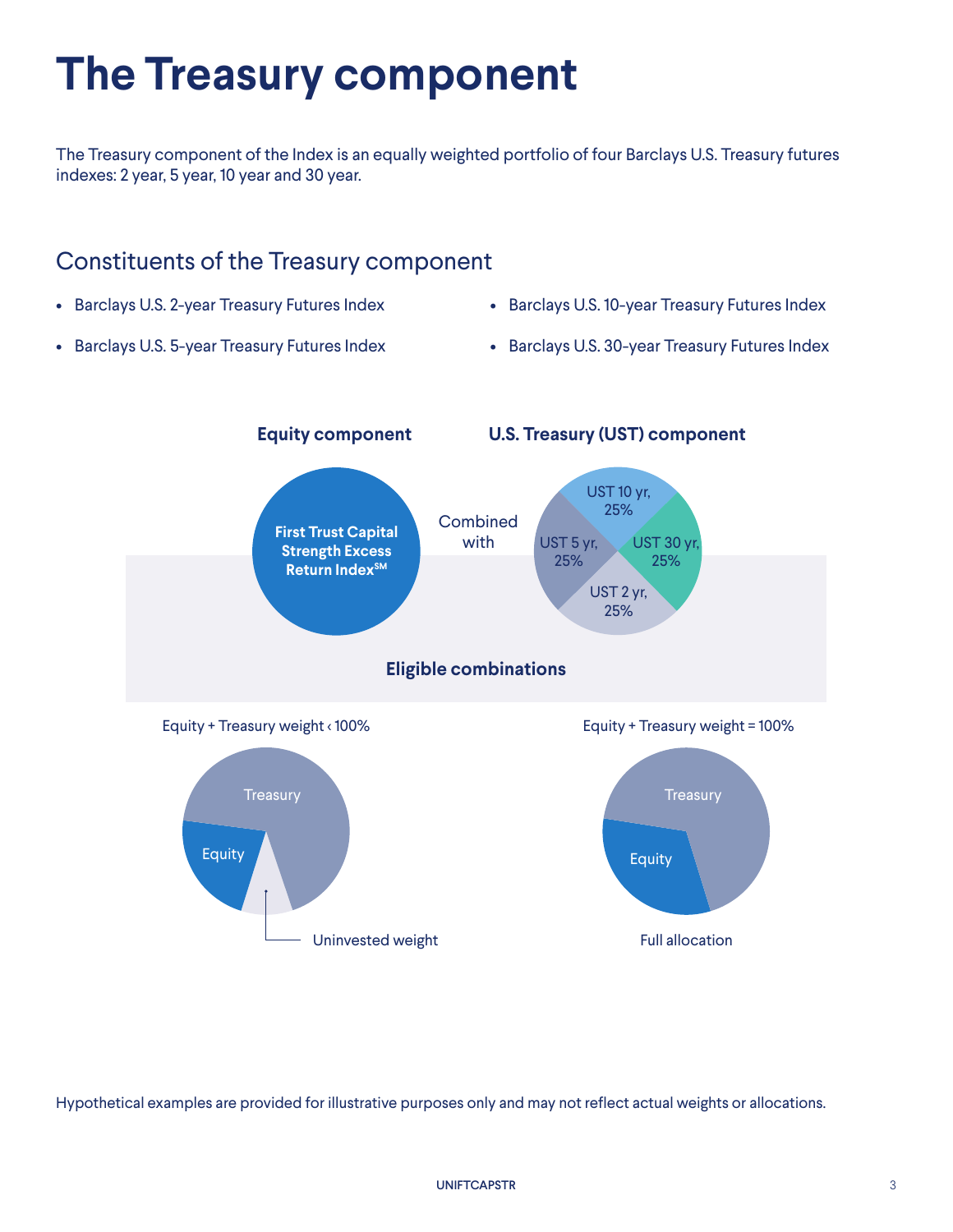## **The Treasury component**

The Treasury component of the Index is an equally weighted portfolio of four Barclays U.S. Treasury futures indexes: 2 year, 5 year, 10 year and 30 year.

### Constituents of the Treasury component

- Barclays U.S. 2-year Treasury Futures Index
- Barclays U.S. 10-year Treasury Futures Index
- Barclays U.S. 5-year Treasury Futures Index
- Barclays U.S. 30-year Treasury Futures Index

![](_page_2_Figure_7.jpeg)

Hypothetical examples are provided for illustrative purposes only and may not reflect actual weights or allocations.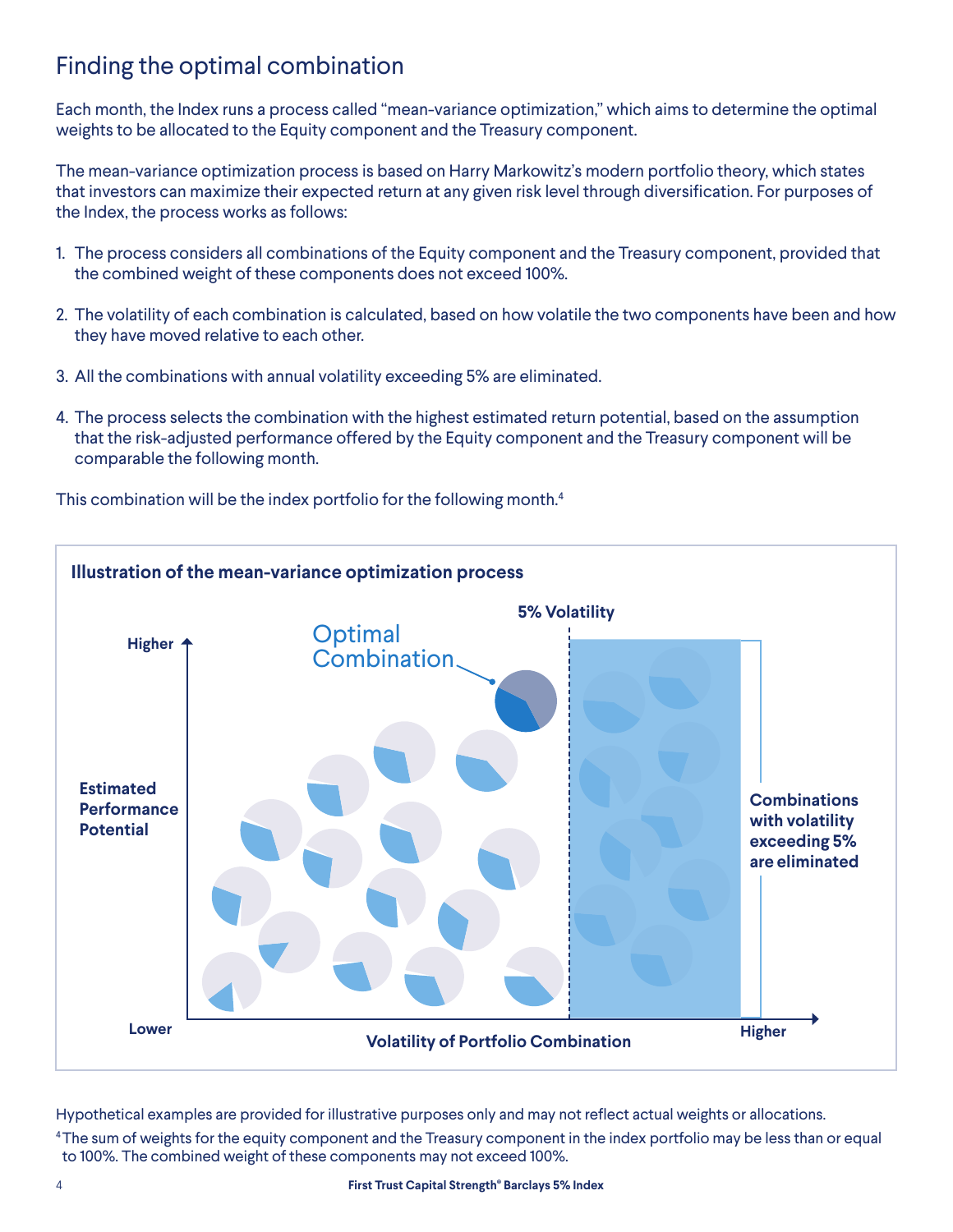## Finding the optimal combination

Each month, the Index runs a process called "mean-variance optimization," which aims to determine the optimal weights to be allocated to the Equity component and the Treasury component.

The mean-variance optimization process is based on Harry Markowitz's modern portfolio theory, which states that investors can maximize their expected return at any given risk level through diversification. For purposes of the Index, the process works as follows:

- 1. The process considers all combinations of the Equity component and the Treasury component, provided that the combined weight of these components does not exceed 100%.
- 2. The volatility of each combination is calculated, based on how volatile the two components have been and how they have moved relative to each other.
- 3. All the combinations with annual volatility exceeding 5% are eliminated.
- 4. The process selects the combination with the highest estimated return potential, based on the assumption that the risk-adjusted performance offered by the Equity component and the Treasury component will be comparable the following month.

This combination will be the index portfolio for the following month.<sup>4</sup>

![](_page_3_Figure_8.jpeg)

Hypothetical examples are provided for illustrative purposes only and may not reflect actual weights or allocations. 4The sum of weights for the equity component and the Treasury component in the index portfolio may be less than or equal to 100%. The combined weight of these components may not exceed 100%.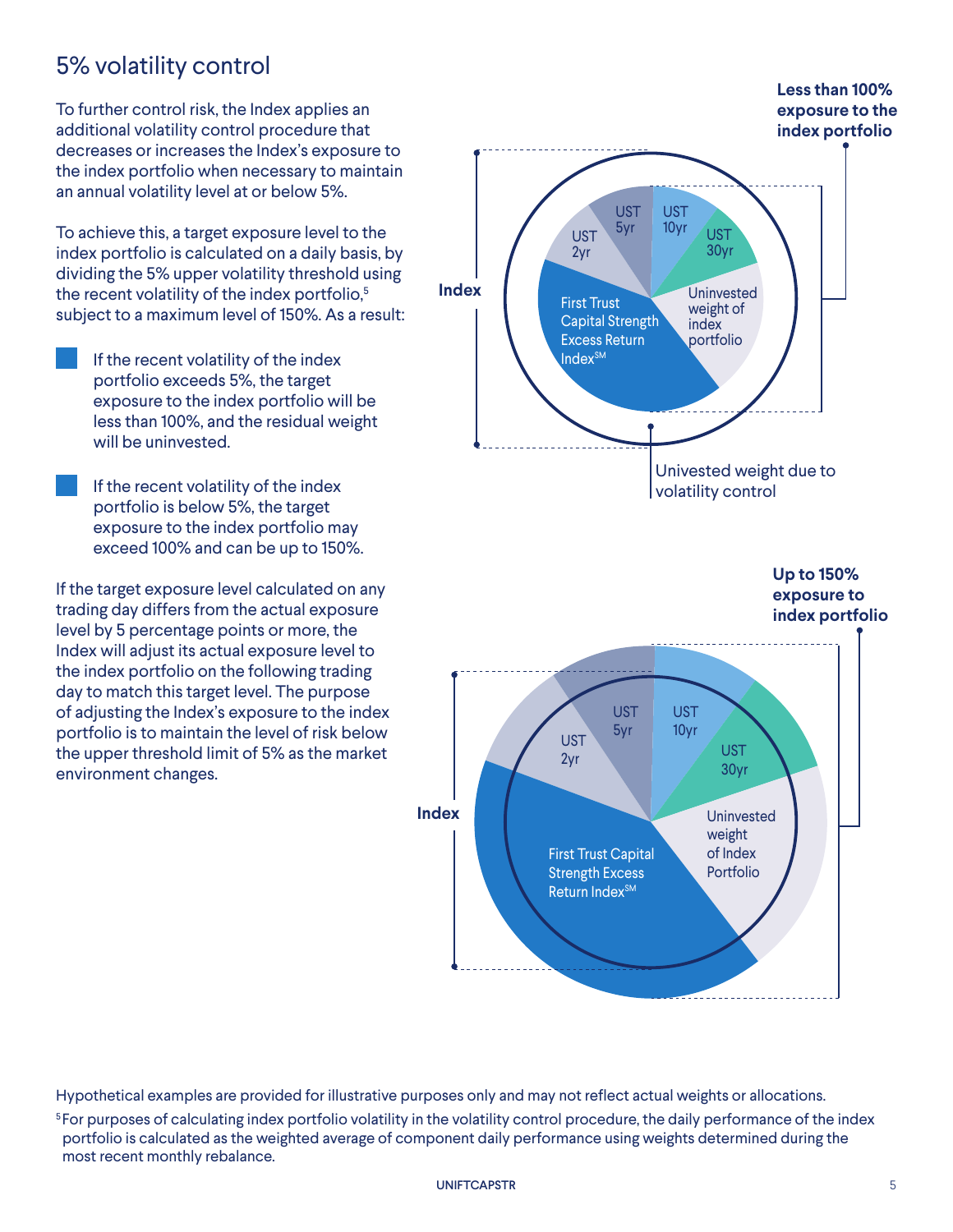## 5% volatility control

To further control risk, the Index applies an additional volatility control procedure that decreases or increases the Index's exposure to the index portfolio when necessary to maintain an annual volatility level at or below 5%.

To achieve this, a target exposure level to the index portfolio is calculated on a daily basis, by dividing the 5% upper volatility threshold using the recent volatility of the index portfolio,<sup>5</sup> subject to a maximum level of 150%. As a result:

- If the recent volatility of the index portfolio exceeds 5%, the target exposure to the index portfolio will be less than 100%, and the residual weight will be uninvested.
- If the recent volatility of the index portfolio is below 5%, the target exposure to the index portfolio may exceed 100% and can be up to 150%.

If the target exposure level calculated on any trading day differs from the actual exposure level by 5 percentage points or more, the Index will adjust its actual exposure level to the index portfolio on the following trading day to match this target level. The purpose of adjusting the Index's exposure to the index portfolio is to maintain the level of risk below the upper threshold limit of 5% as the market environment changes.

![](_page_4_Figure_6.jpeg)

Hypothetical examples are provided for illustrative purposes only and may not reflect actual weights or allocations. <sup>5</sup> For purposes of calculating index portfolio volatility in the volatility control procedure, the daily performance of the index portfolio is calculated as the weighted average of component daily performance using weights determined during the most recent monthly rebalance.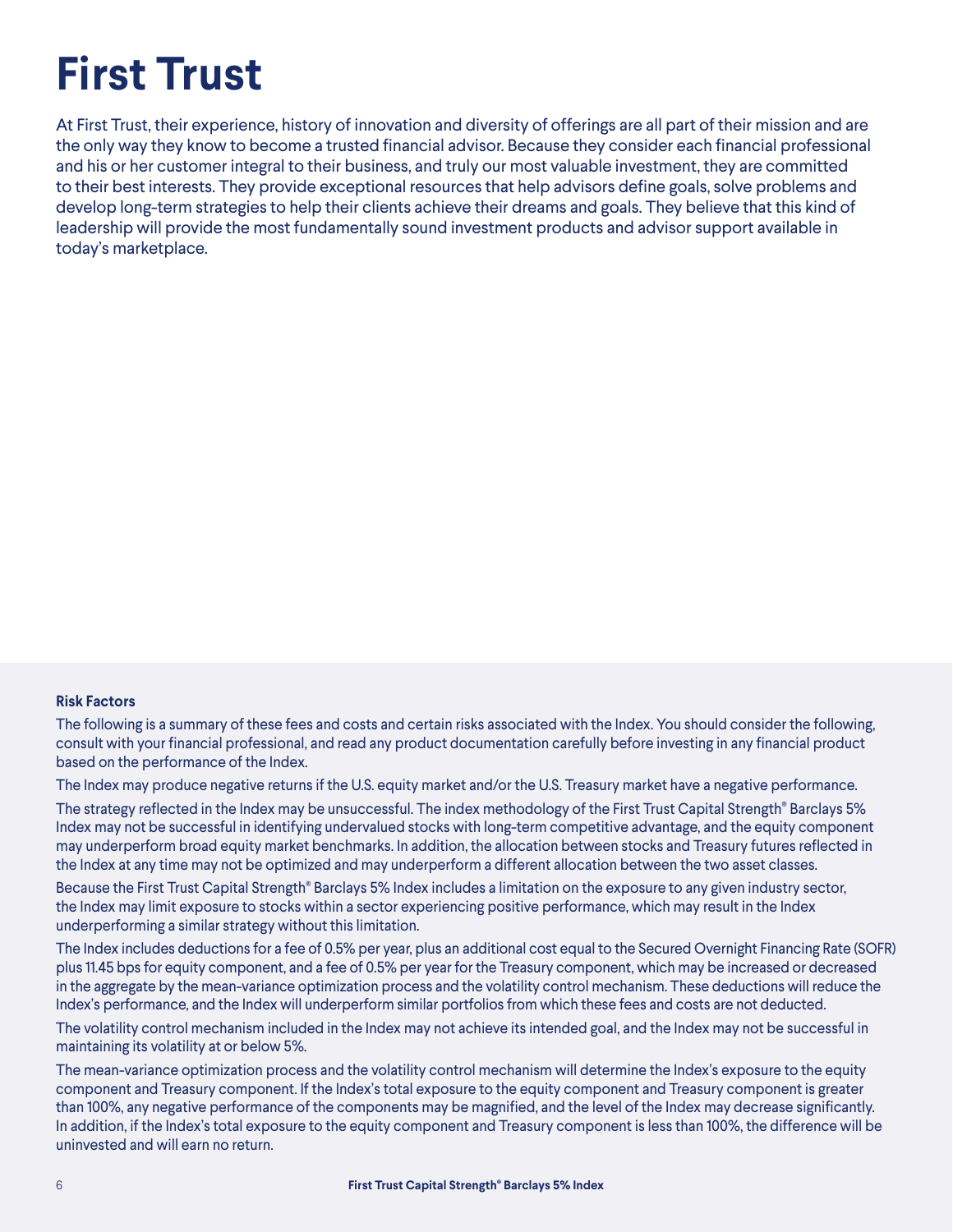# **First Trust**

At First Trust, their experience, history of innovation and diversity of offerings are all part of their mission and are the only way they know to become a trusted financial advisor. Because they consider each financial professional and his or her customer integral to their business, and truly our most valuable investment, they are committed to their best interests. They provide exceptional resources that help advisors define goals, solve problems and develop long-term strategies to help their clients achieve their dreams and goals. They believe that this kind of leadership will provide the most fundamentally sound investment products and advisor support available in today's marketplace.

#### **Risk Factors**

The following is a summary of these fees and costs and certain risks associated with the Index. You should consider the following, consult with your financial professional, and read any product documentation carefully before investing in any financial product based on the performance of the Index.

The Index may produce negative returns if the U.S. equity market and/or the U.S. Treasury market have a negative performance.

The strategy reflected in the Index may be unsuccessful. The index methodology of the First Trust Capital Strength® Barclays 5% Index may not be successful in identifying undervalued stocks with long-term competitive advantage, and the equity component may underperform broad equity market benchmarks. In addition, the allocation between stocks and Treasury futures reflected in the Index at any time may not be optimized and may underperform a different allocation between the two asset classes.

Because the First Trust Capital Strength® Barclays 5% Index includes a limitation on the exposure to any given industry sector, the Index may limit exposure to stocks within a sector experiencing positive performance, which may result in the Index underperforming a similar strategy without this limitation.

The Index includes deductions for a fee of 0.5% per year, plus an additional cost equal to the Secured Overnight Financing Rate (SOFR) plus 11.45 bps for equity component, and a fee of 0.5% per year for the Treasury component, which may be increased or decreased in the aggregate by the mean-variance optimization process and the volatility control mechanism. These deductions will reduce the Index's performance, and the Index will underperform similar portfolios from which these fees and costs are not deducted.

The volatility control mechanism included in the Index may not achieve its intended goal, and the Index may not be successful in maintaining its volatility at or below 5%.

The mean-variance optimization process and the volatility control mechanism will determine the Index's exposure to the equity component and Treasury component. If the Index's total exposure to the equity component and Treasury component is greater than 100%, any negative performance of the components may be magnified, and the level of the Index may decrease significantly. In addition, if the Index's total exposure to the equity component and Treasury component is less than 100%, the difference will be uninvested and will earn no return.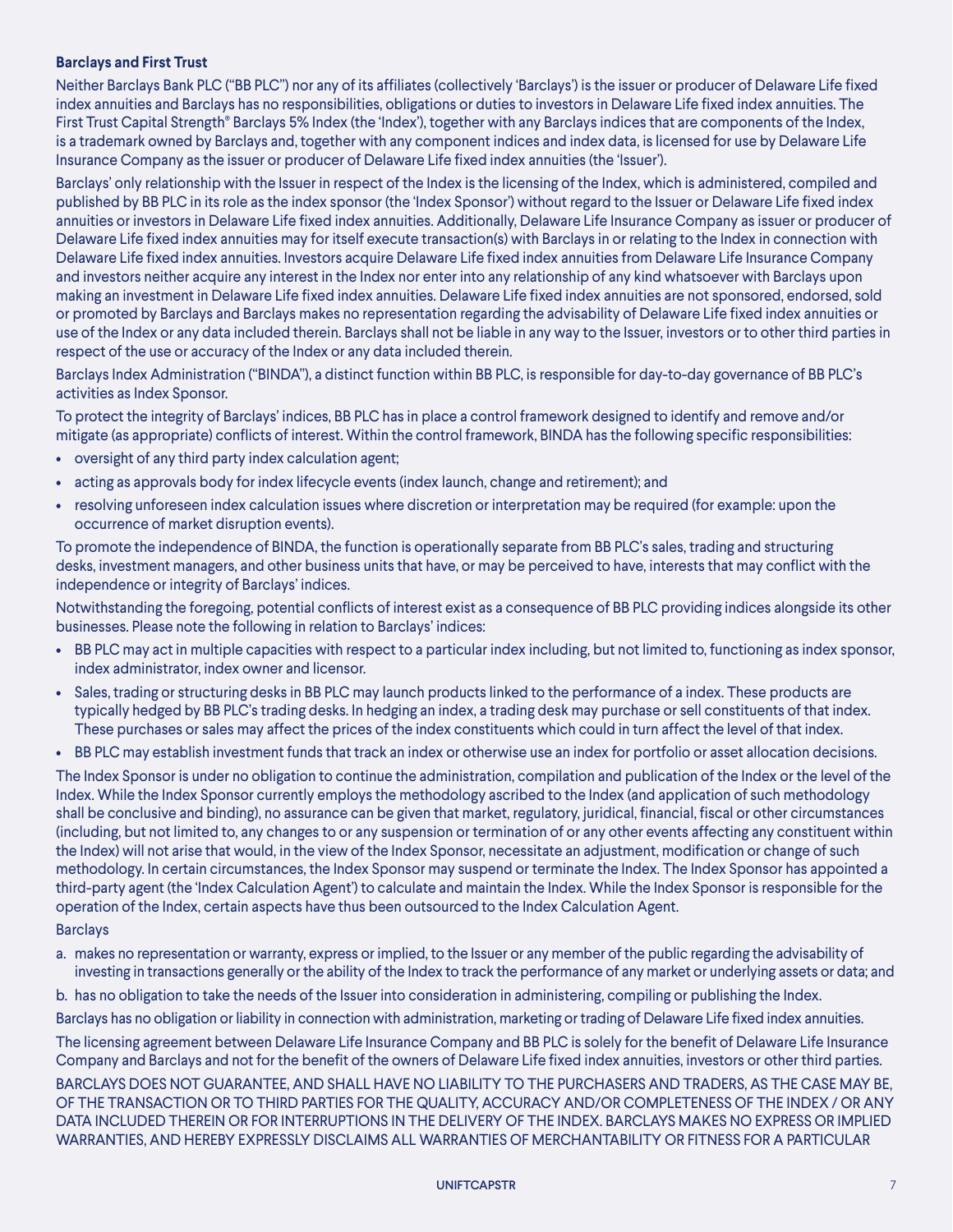#### **Barclays and First Trust**

Neither Barclays Bank PLC ("BB PLC") nor any of its affiliates (collectively 'Barclays') is the issuer or producer of Delaware Life fixed index annuities and Barclays has no responsibilities, obligations or duties to investors in Delaware Life fixed index annuities. The First Trust Capital Strength® Barclays 5% Index (the 'Index'), together with any Barclays indices that are components of the Index, is a trademark owned by Barclays and, together with any component indices and index data, is licensed for use by Delaware Life Insurance Company as the issuer or producer of Delaware Life fixed index annuities (the 'Issuer').

Barclays' only relationship with the Issuer in respect of the Index is the licensing of the Index, which is administered, compiled and published by BB PLC in its role as the index sponsor (the 'Index Sponsor') without regard to the Issuer or Delaware Life fixed index annuities or investors in Delaware Life fixed index annuities. Additionally, Delaware Life Insurance Company as issuer or producer of Delaware Life fixed index annuities may for itself execute transaction(s) with Barclays in or relating to the Index in connection with Delaware Life fixed index annuities. Investors acquire Delaware Life fixed index annuities from Delaware Life Insurance Company and investors neither acquire any interest in the Index nor enter into any relationship of any kind whatsoever with Barclays upon making an investment in Delaware Life fixed index annuities. Delaware Life fixed index annuities are not sponsored, endorsed, sold or promoted by Barclays and Barclays makes no representation regarding the advisability of Delaware Life fixed index annuities or use of the Index or any data included therein. Barclays shall not be liable in any way to the Issuer, investors or to other third parties in respect of the use or accuracy of the Index or any data included therein.

Barclays Index Administration ("BINDA"), a distinct function within BB PLC, is responsible for day-to-day governance of BB PLC's activities as Index Sponsor.

To protect the integrity of Barclays' indices, BB PLC has in place a control framework designed to identify and remove and/or mitigate (as appropriate) conflicts of interest. Within the control framework, BINDA has the following specific responsibilities:

- oversight of any third party index calculation agent;
- acting as approvals body for index lifecycle events (index launch, change and retirement); and
- resolving unforeseen index calculation issues where discretion or interpretation may be required (for example: upon the occurrence of market disruption events).

To promote the independence of BINDA, the function is operationally separate from BB PLC's sales, trading and structuring desks, investment managers, and other business units that have, or may be perceived to have, interests that may conflict with the independence or integrity of Barclays' indices.

Notwithstanding the foregoing, potential conflicts of interest exist as a consequence of BB PLC providing indices alongside its other businesses. Please note the following in relation to Barclays' indices:

- BB PLC may act in multiple capacities with respect to a particular index including, but not limited to, functioning as index sponsor, index administrator, index owner and licensor.
- Sales, trading or structuring desks in BB PLC may launch products linked to the performance of a index. These products are typically hedged by BB PLC's trading desks. In hedging an index, a trading desk may purchase or sell constituents of that index. These purchases or sales may affect the prices of the index constituents which could in turn affect the level of that index.
- BB PLC may establish investment funds that track an index or otherwise use an index for portfolio or asset allocation decisions.

The Index Sponsor is under no obligation to continue the administration, compilation and publication of the Index or the level of the Index. While the Index Sponsor currently employs the methodology ascribed to the Index (and application of such methodology shall be conclusive and binding), no assurance can be given that market, regulatory, juridical, financial, fiscal or other circumstances (including, but not limited to, any changes to or any suspension or termination of or any other events affecting any constituent within the Index) will not arise that would, in the view of the Index Sponsor, necessitate an adjustment, modification or change of such methodology. In certain circumstances, the Index Sponsor may suspend or terminate the Index. The Index Sponsor has appointed a third-party agent (the 'Index Calculation Agent') to calculate and maintain the Index. While the Index Sponsor is responsible for the operation of the Index, certain aspects have thus been outsourced to the Index Calculation Agent.

#### Barclays

a. makes no representation or warranty, express or implied, to the Issuer or any member of the public regarding the advisability of investing in transactions generally or the ability of the Index to track the performance of any market or underlying assets or data; and

b. has no obligation to take the needs of the Issuer into consideration in administering, compiling or publishing the Index.

Barclays has no obligation or liability in connection with administration, marketing or trading of Delaware Life fixed index annuities.

The licensing agreement between Delaware Life Insurance Company and BB PLC is solely for the benefit of Delaware Life Insurance Company and Barclays and not for the benefit of the owners of Delaware Life fixed index annuities, investors or other third parties. BARCLAYS DOES NOT GUARANTEE, AND SHALL HAVE NO LIABILITY TO THE PURCHASERS AND TRADERS, AS THE CASE MAY BE, OF THE TRANSACTION OR TO THIRD PARTIES FOR THE QUALITY, ACCURACY AND/OR COMPLETENESS OF THE INDEX / OR ANY DATA INCLUDED THEREIN OR FOR INTERRUPTIONS IN THE DELIVERY OF THE INDEX. BARCLAYS MAKES NO EXPRESS OR IMPLIED WARRANTIES, AND HEREBY EXPRESSLY DISCLAIMS ALL WARRANTIES OF MERCHANTABILITY OR FITNESS FOR A PARTICULAR